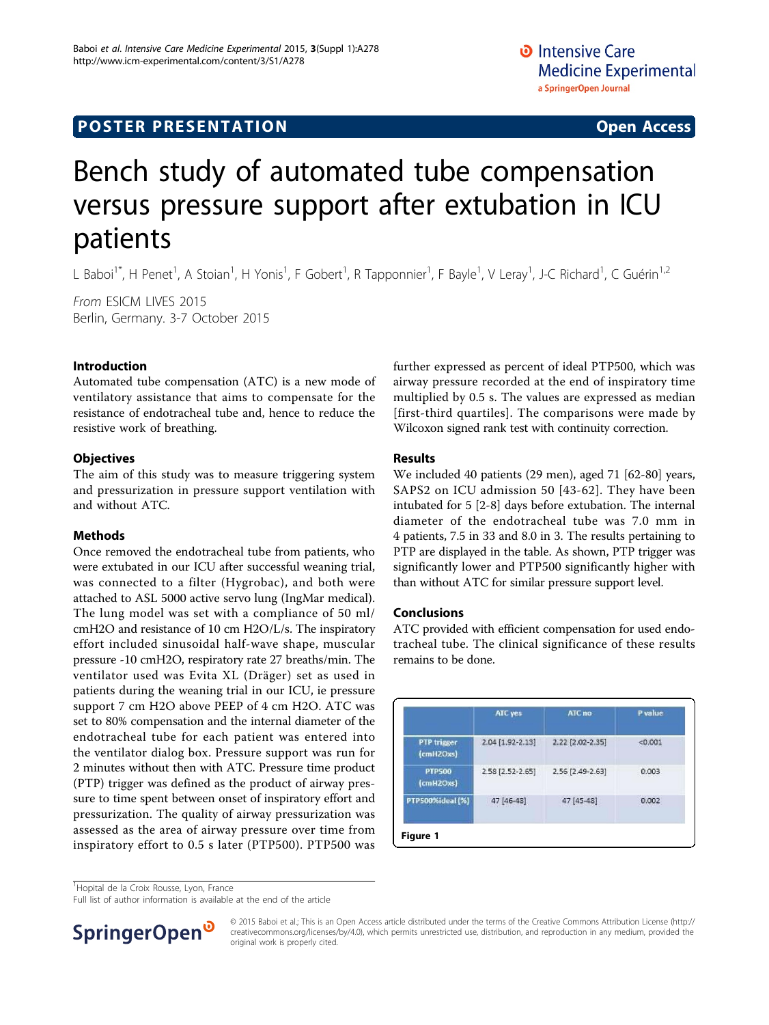# Bench study of automated tube compensation versus pressure support after extubation in ICU patients

L Baboi<sup>1\*</sup>, H Penet<sup>1</sup>, A Stoian<sup>1</sup>, H Yonis<sup>1</sup>, F Gobert<sup>1</sup>, R Tapponnier<sup>1</sup>, F Bayle<sup>1</sup>, V Leray<sup>1</sup>, J-C Richard<sup>1</sup>, C Guérin<sup>1,2</sup>

From ESICM LIVES 2015 Berlin, Germany. 3-7 October 2015

#### Introduction

Automated tube compensation (ATC) is a new mode of ventilatory assistance that aims to compensate for the resistance of endotracheal tube and, hence to reduce the resistive work of breathing.

#### **Objectives**

The aim of this study was to measure triggering system and pressurization in pressure support ventilation with and without ATC.

#### Methods

Once removed the endotracheal tube from patients, who were extubated in our ICU after successful weaning trial, was connected to a filter (Hygrobac), and both were attached to ASL 5000 active servo lung (IngMar medical). The lung model was set with a compliance of 50 ml/ cmH2O and resistance of 10 cm H2O/L/s. The inspiratory effort included sinusoidal half-wave shape, muscular pressure -10 cmH2O, respiratory rate 27 breaths/min. The ventilator used was Evita XL (Dräger) set as used in patients during the weaning trial in our ICU, ie pressure support 7 cm H2O above PEEP of 4 cm H2O. ATC was set to 80% compensation and the internal diameter of the endotracheal tube for each patient was entered into the ventilator dialog box. Pressure support was run for 2 minutes without then with ATC. Pressure time product (PTP) trigger was defined as the product of airway pressure to time spent between onset of inspiratory effort and pressurization. The quality of airway pressurization was assessed as the area of airway pressure over time from inspiratory effort to 0.5 s later (PTP500). PTP500 was further expressed as percent of ideal PTP500, which was airway pressure recorded at the end of inspiratory time multiplied by 0.5 s. The values are expressed as median [first-third quartiles]. The comparisons were made by Wilcoxon signed rank test with continuity correction.

### Results

We included 40 patients (29 men), aged 71 [62-80] years, SAPS2 on ICU admission 50 [43-62]. They have been intubated for 5 [2-8] days before extubation. The internal diameter of the endotracheal tube was 7.0 mm in 4 patients, 7.5 in 33 and 8.0 in 3. The results pertaining to PTP are displayed in the table. As shown, PTP trigger was significantly lower and PTP500 significantly higher with than without ATC for similar pressure support level.

#### Conclusions

ATC provided with efficient compensation for used endotracheal tube. The clinical significance of these results remains to be done.

|                                 | ATC yes          | ATC no           | P value |
|---------------------------------|------------------|------------------|---------|
| <b>PTP</b> trigger<br>(cmH2Oxs) | 2.04 [1.92-2.13] | 2.22 [2.02-2.35] | < 0.001 |
| <b>PTP500</b><br>[cmH2Oxs]      | 2.58 [2.52-2.65] | 2.56 [2.49-2.63] | 0.003   |
| PTP500%ideal (%)                | 47 [46-48]       | 47 [45-48]       | 0.002   |

<sup>1</sup>Hopital de la Croix Rousse, Lyon, France

Full list of author information is available at the end of the article



© 2015 Baboi et al.; This is an Open Access article distributed under the terms of the Creative Commons Attribution License [\(http://](http://creativecommons.org/licenses/by/4.0) [creativecommons.org/licenses/by/4.0](http://creativecommons.org/licenses/by/4.0)), which permits unrestricted use, distribution, and reproduction in any medium, provided the original work is properly cited.